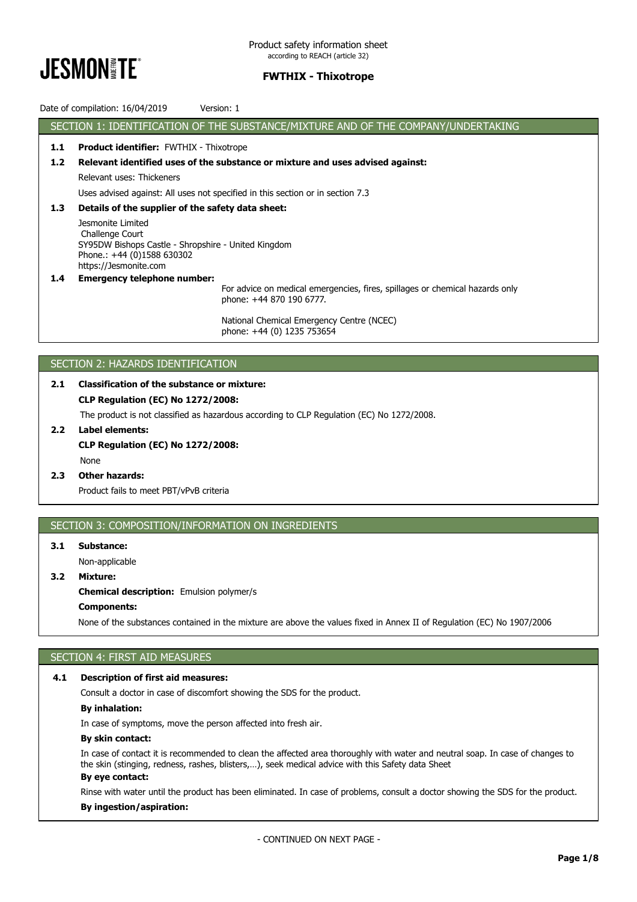

Date of compilation: 16/04/2019 Version: 1

SECTION 1: IDENTIFICATION OF THE SUBSTANCE/MIXTURE AND OF THE COMPANY/UNDERTAKING **1.1 Product identifier:** FWTHIX - Thixotrope **1.2 Relevant identified uses of the substance or mixture and uses advised against:** Relevant uses: Thickeners Uses advised against: All uses not specified in this section or in section 7.3 **1.3 Details of the supplier of the safety data sheet:** Jesmonite Limited Challenge Court SY95DW Bishops Castle - Shropshire - United Kingdom Phone.: +44 (0)1588 630302 https://Jesmonite.com **1.4 Emergency telephone number:** For advice on medical emergencies, fires, spillages or chemical hazards only phone: +44 870 190 6777.

> National Chemical Emergency Centre (NCEC) phone: +44 (0) 1235 753654

### SECTION 2: HAZARDS IDENTIFICATION

### **2.1 Classification of the substance or mixture: CLP Regulation (EC) No 1272/2008:** The product is not classified as hazardous according to CLP Regulation (EC) No 1272/2008.

**2.2 Label elements:**

# **CLP Regulation (EC) No 1272/2008:** None

**2.3 Other hazards:** Product fails to meet PBT/vPvB criteria

### SECTION 3: COMPOSITION/INFORMATION ON INGREDIENTS

### **3.1 Substance:**

Non-applicable

### **3.2 Mixture:**

**Chemical description:** Emulsion polymer/s

### **Components:**

None of the substances contained in the mixture are above the values fixed in Annex II of Regulation (EC) No 1907/2006

### SECTION 4: FIRST AID MEASURES

### **4.1 Description of first aid measures:**

Consult a doctor in case of discomfort showing the SDS for the product.

# **By inhalation:**

In case of symptoms, move the person affected into fresh air.

#### **By skin contact:**

In case of contact it is recommended to clean the affected area thoroughly with water and neutral soap. In case of changes to the skin (stinging, redness, rashes, blisters,…), seek medical advice with this Safety data Sheet

# **By eye contact:**

Rinse with water until the product has been eliminated. In case of problems, consult a doctor showing the SDS for the product.

### **By ingestion/aspiration:**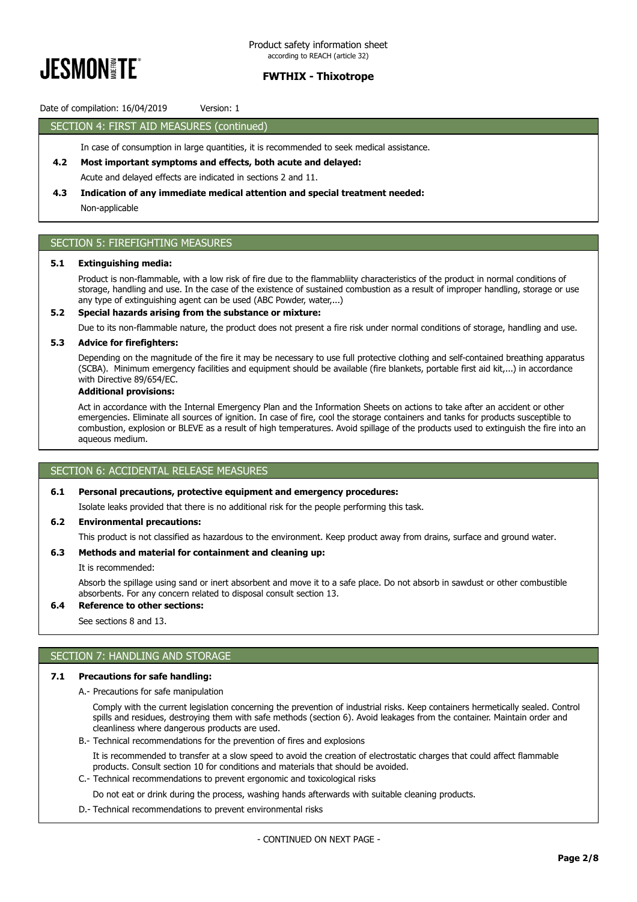

Date of compilation: 16/04/2019 Version: 1

### SECTION 4: FIRST AID MEASURES (continued)

In case of consumption in large quantities, it is recommended to seek medical assistance.

**4.2 Most important symptoms and effects, both acute and delayed:**

Acute and delayed effects are indicated in sections 2 and 11.

## **4.3 Indication of any immediate medical attention and special treatment needed:**

Non-applicable

### SECTION 5: FIREFIGHTING MEASURES

#### **5.1 Extinguishing media:**

Product is non-flammable, with a low risk of fire due to the flammabliity characteristics of the product in normal conditions of storage, handling and use. In the case of the existence of sustained combustion as a result of improper handling, storage or use any type of extinguishing agent can be used (ABC Powder, water,...)

### **5.2 Special hazards arising from the substance or mixture:**

Due to its non-flammable nature, the product does not present a fire risk under normal conditions of storage, handling and use.

#### **5.3 Advice for firefighters:**

Depending on the magnitude of the fire it may be necessary to use full protective clothing and self-contained breathing apparatus (SCBA). Minimum emergency facilities and equipment should be available (fire blankets, portable first aid kit,...) in accordance with Directive 89/654/EC.

### **Additional provisions:**

Act in accordance with the Internal Emergency Plan and the Information Sheets on actions to take after an accident or other emergencies. Eliminate all sources of ignition. In case of fire, cool the storage containers and tanks for products susceptible to combustion, explosion or BLEVE as a result of high temperatures. Avoid spillage of the products used to extinguish the fire into an aqueous medium.

### SECTION 6: ACCIDENTAL RELEASE MEASURES

#### **6.1 Personal precautions, protective equipment and emergency procedures:**

Isolate leaks provided that there is no additional risk for the people performing this task.

#### **6.2 Environmental precautions:**

This product is not classified as hazardous to the environment. Keep product away from drains, surface and ground water.

#### **6.3 Methods and material for containment and cleaning up:**

It is recommended:

Absorb the spillage using sand or inert absorbent and move it to a safe place. Do not absorb in sawdust or other combustible absorbents. For any concern related to disposal consult section 13.

### **6.4 Reference to other sections:**

See sections 8 and 13.

### SECTION 7: HANDLING AND STORAGE

#### **7.1 Precautions for safe handling:**

A.- Precautions for safe manipulation

Comply with the current legislation concerning the prevention of industrial risks. Keep containers hermetically sealed. Control spills and residues, destroying them with safe methods (section 6). Avoid leakages from the container. Maintain order and cleanliness where dangerous products are used.

B.- Technical recommendations for the prevention of fires and explosions

It is recommended to transfer at a slow speed to avoid the creation of electrostatic charges that could affect flammable products. Consult section 10 for conditions and materials that should be avoided.

C.- Technical recommendations to prevent ergonomic and toxicological risks

Do not eat or drink during the process, washing hands afterwards with suitable cleaning products.

D.- Technical recommendations to prevent environmental risks

- CONTINUED ON NEXT PAGE -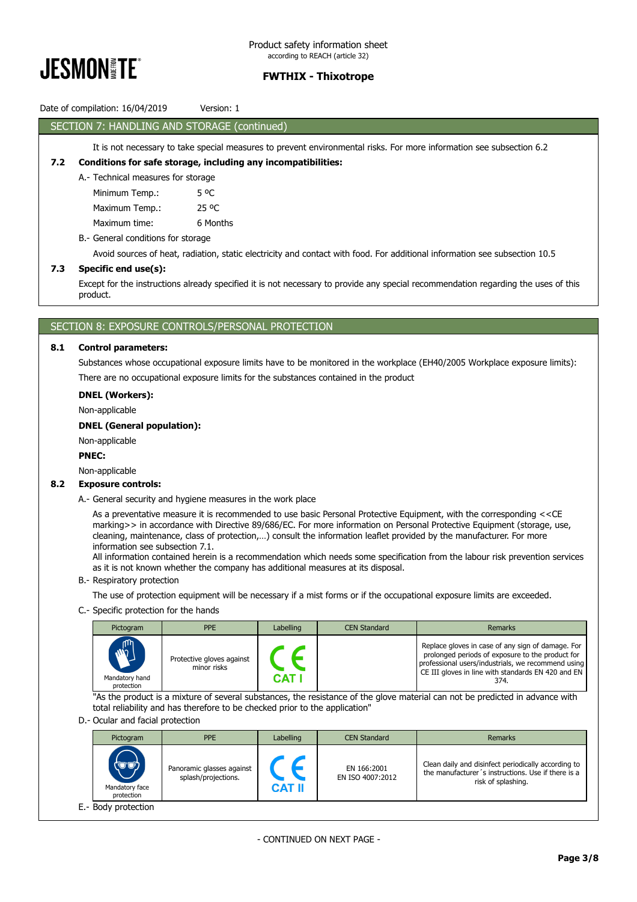

### Date of compilation: 16/04/2019 Version: 1

### SECTION 7: HANDLING AND STORAGE (continued)

### It is not necessary to take special measures to prevent environmental risks. For more information see subsection 6.2

#### **7.2 Conditions for safe storage, including any incompatibilities:**

A.- Technical measures for storage

Minimum Temp.: 5 °C

Maximum Temp.: 25 °C

Maximum time: 6 Months

### B.- General conditions for storage

Avoid sources of heat, radiation, static electricity and contact with food. For additional information see subsection 10.5

#### **7.3 Specific end use(s):**

Except for the instructions already specified it is not necessary to provide any special recommendation regarding the uses of this product.

### SECTION 8: EXPOSURE CONTROLS/PERSONAL PROTECTION

#### **8.1 Control parameters:**

Substances whose occupational exposure limits have to be monitored in the workplace (EH40/2005 Workplace exposure limits): There are no occupational exposure limits for the substances contained in the product

**DNEL (Workers):**

Non-applicable

#### **DNEL (General population):**

Non-applicable

#### **PNEC:**

Non-applicable

#### **8.2 Exposure controls:**

A.- General security and hygiene measures in the work place

As a preventative measure it is recommended to use basic Personal Protective Equipment, with the corresponding <<CE marking>> in accordance with Directive 89/686/EC. For more information on Personal Protective Equipment (storage, use, cleaning, maintenance, class of protection,…) consult the information leaflet provided by the manufacturer. For more information see subsection 7.1.

All information contained herein is a recommendation which needs some specification from the labour risk prevention services as it is not known whether the company has additional measures at its disposal.

B.- Respiratory protection

The use of protection equipment will be necessary if a mist forms or if the occupational exposure limits are exceeded.

C.- Specific protection for the hands

| Pictogram                                  | <b>PPE</b>                               | Labelling | <b>CEN Standard</b> | Remarks                                                                                                                                                                                                                   |
|--------------------------------------------|------------------------------------------|-----------|---------------------|---------------------------------------------------------------------------------------------------------------------------------------------------------------------------------------------------------------------------|
| <b>AND</b><br>Mandatory hand<br>protection | Protective gloves against<br>minor risks | CAT I     |                     | Replace gloves in case of any sign of damage. For<br>prolonged periods of exposure to the product for<br>professional users/industrials, we recommend using<br>CE III gloves in line with standards EN 420 and EN<br>374. |

"As the product is a mixture of several substances, the resistance of the glove material can not be predicted in advance with total reliability and has therefore to be checked prior to the application"

D.- Ocular and facial protection

| Pictogram                                                     | <b>PPE</b>                                       | Labelling     | <b>CEN Standard</b>             | Remarks                                                                                                                         |
|---------------------------------------------------------------|--------------------------------------------------|---------------|---------------------------------|---------------------------------------------------------------------------------------------------------------------------------|
| $\langle \nabla \psi \rangle$<br>Mandatory face<br>protection | Panoramic glasses against<br>splash/projections. | <b>CAT II</b> | EN 166:2001<br>EN ISO 4007:2012 | Clean daily and disinfect periodically according to<br>the manufacturer's instructions. Use if there is a<br>risk of splashing. |
| E.- Body protection                                           |                                                  |               |                                 |                                                                                                                                 |

- CONTINUED ON NEXT PAGE -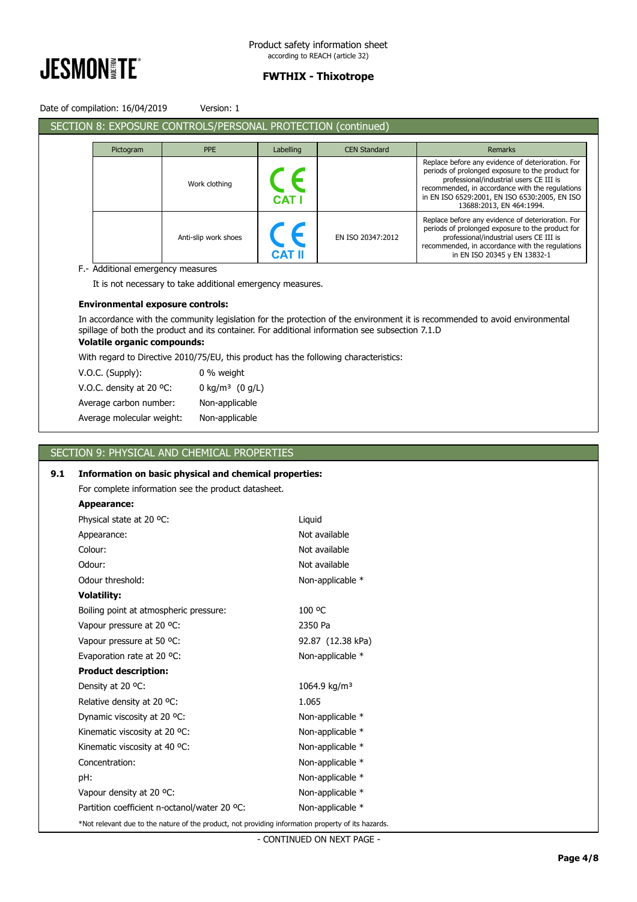

Date of compilation: 16/04/2019 Version: 1

|           | SECTION 8: EXPOSURE CONTROLS/PERSONAL PROTECTION (continued) |            |                     |                                                                                                                                                                                                                                                                                  |
|-----------|--------------------------------------------------------------|------------|---------------------|----------------------------------------------------------------------------------------------------------------------------------------------------------------------------------------------------------------------------------------------------------------------------------|
| Pictogram | <b>PPE</b>                                                   | Labelling  | <b>CEN Standard</b> | <b>Remarks</b>                                                                                                                                                                                                                                                                   |
|           | Work clothing                                                | <b>CAT</b> |                     | Replace before any evidence of deterioration. For<br>periods of prolonged exposure to the product for<br>professional/industrial users CE III is<br>recommended, in accordance with the regulations<br>in EN ISO 6529:2001, EN ISO 6530:2005, EN ISO<br>13688:2013, EN 464:1994. |
|           | Anti-slip work shoes                                         |            | EN ISO 20347:2012   | Replace before any evidence of deterioration. For<br>periods of prolonged exposure to the product for<br>professional/industrial users CE III is<br>recommended, in accordance with the regulations<br>in EN ISO 20345 y EN 13832-1                                              |

F.- Additional emergency measures

It is not necessary to take additional emergency measures.

### **Environmental exposure controls:**

In accordance with the community legislation for the protection of the environment it is recommended to avoid environmental spillage of both the product and its container. For additional information see subsection 7.1.D

### **Volatile organic compounds:**

With regard to Directive 2010/75/EU, this product has the following characteristics:

| $V.O.C.$ (Supply):        | 0 % weight                    |
|---------------------------|-------------------------------|
| V.O.C. density at 20 °C:  | 0 kg/m <sup>3</sup> $(0 g/L)$ |
| Average carbon number:    | Non-applicable                |
| Average molecular weight: | Non-applicable                |

### SECTION 9: PHYSICAL AND CHEMICAL PROPERTIES

### **9.1 Information on basic physical and chemical properties:**

For complete information see the product datasheet.

#### **Appearance:**

| Physical state at 20 °C:                                                                           | Liquid                   |  |
|----------------------------------------------------------------------------------------------------|--------------------------|--|
| Appearance:                                                                                        | Not available            |  |
| Colour:                                                                                            | Not available            |  |
| Odour:                                                                                             | Not available            |  |
| Odour threshold:                                                                                   | Non-applicable *         |  |
| <b>Volatility:</b>                                                                                 |                          |  |
| Boiling point at atmospheric pressure:                                                             | 100 °C                   |  |
| Vapour pressure at 20 °C:                                                                          | 2350 Pa                  |  |
| Vapour pressure at 50 °C:                                                                          | 92.87 (12.38 kPa)        |  |
| Evaporation rate at 20 °C:                                                                         | Non-applicable *         |  |
| <b>Product description:</b>                                                                        |                          |  |
| Density at 20 °C:                                                                                  | 1064.9 kg/m <sup>3</sup> |  |
| Relative density at 20 °C.                                                                         | 1.065                    |  |
| Dynamic viscosity at 20 °C:                                                                        | Non-applicable *         |  |
| Kinematic viscosity at 20 °C:                                                                      | Non-applicable *         |  |
| Kinematic viscosity at 40 °C:                                                                      | Non-applicable *         |  |
| Concentration:                                                                                     | Non-applicable *         |  |
| pH:                                                                                                | Non-applicable *         |  |
| Vapour density at 20 °C:                                                                           | Non-applicable *         |  |
| Partition coefficient n-octanol/water 20 °C:                                                       | Non-applicable *         |  |
| *Not relevant due to the nature of the product, not providing information property of its hazards. |                          |  |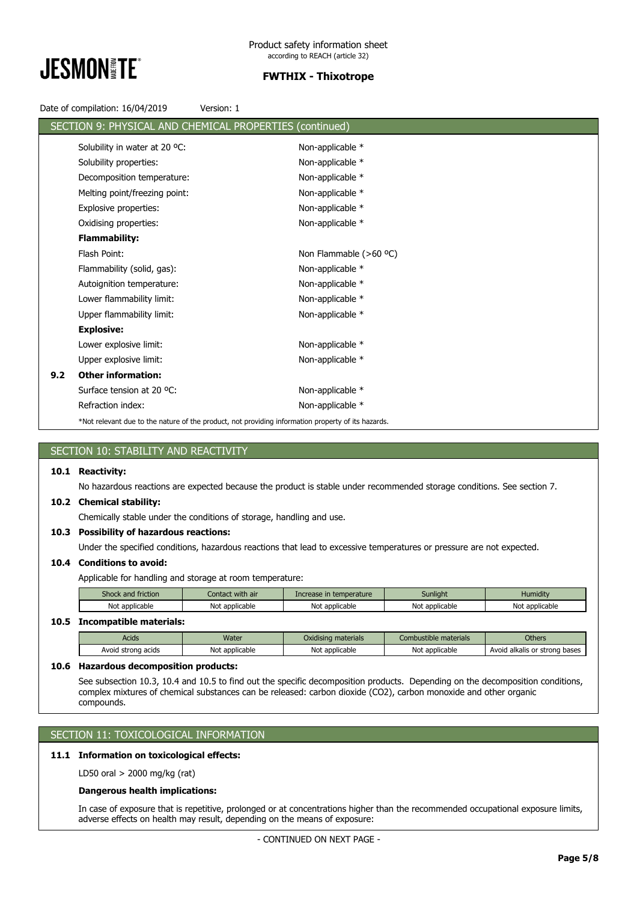

Date of compilation: 16/04/2019 Version: 1

|     | SECTION 9: PHYSICAL AND CHEMICAL PROPERTIES (continued) |                                                                                                    |  |
|-----|---------------------------------------------------------|----------------------------------------------------------------------------------------------------|--|
|     | Solubility in water at 20 °C:                           | Non-applicable *                                                                                   |  |
|     | Solubility properties:                                  | Non-applicable *                                                                                   |  |
|     | Decomposition temperature:                              | Non-applicable *                                                                                   |  |
|     | Melting point/freezing point:                           | Non-applicable *                                                                                   |  |
|     | <b>Explosive properties:</b>                            | Non-applicable *                                                                                   |  |
|     | Oxidising properties:                                   | Non-applicable *                                                                                   |  |
|     | <b>Flammability:</b>                                    |                                                                                                    |  |
|     | Flash Point:                                            | Non Flammable (>60 °C)                                                                             |  |
|     | Flammability (solid, gas):                              | Non-applicable *                                                                                   |  |
|     | Autoignition temperature:                               | Non-applicable *                                                                                   |  |
|     | Lower flammability limit:                               | Non-applicable *                                                                                   |  |
|     | Upper flammability limit:                               | Non-applicable *                                                                                   |  |
|     | <b>Explosive:</b>                                       |                                                                                                    |  |
|     | Lower explosive limit:                                  | Non-applicable *                                                                                   |  |
|     | Upper explosive limit:                                  | Non-applicable *                                                                                   |  |
| 9.2 | <b>Other information:</b>                               |                                                                                                    |  |
|     | Surface tension at 20 °C:                               | Non-applicable *                                                                                   |  |
|     | Refraction index:                                       | Non-applicable *                                                                                   |  |
|     |                                                         | *Not relevant due to the nature of the product, not providing information property of its hazards. |  |

### SECTION 10: STABILITY AND REACTIVITY

#### **10.1 Reactivity:**

No hazardous reactions are expected because the product is stable under recommended storage conditions. See section 7.

#### **10.2 Chemical stability:**

Chemically stable under the conditions of storage, handling and use.

### **10.3 Possibility of hazardous reactions:**

Under the specified conditions, hazardous reactions that lead to excessive temperatures or pressure are not expected.

#### **10.4 Conditions to avoid:**

Applicable for handling and storage at room temperature:

| Shock and friction | Contact with air |                | Sunlight       | <b>Humidity</b> |
|--------------------|------------------|----------------|----------------|-----------------|
| Not applicable     | Not applicable   | Not applicable | Not applicable | Not applicable  |

#### **10.5 Incompatible materials:**

| Acids        | Water                   | Oxidising materials | Combustible materials | <b>Others</b>           |
|--------------|-------------------------|---------------------|-----------------------|-------------------------|
| Avoid        | <sup>.</sup> applicable | Not applicable      | Not                   | Avoid alkalis or strong |
| strong acids | Not                     |                     | t applicable          | bases                   |

### **10.6 Hazardous decomposition products:**

See subsection 10.3, 10.4 and 10.5 to find out the specific decomposition products. Depending on the decomposition conditions, complex mixtures of chemical substances can be released: carbon dioxide (CO2), carbon monoxide and other organic compounds.

### SECTION 11: TOXICOLOGICAL INFORMATION

### **11.1 Information on toxicological effects:**

LD50 oral > 2000 mg/kg (rat)

### **Dangerous health implications:**

In case of exposure that is repetitive, prolonged or at concentrations higher than the recommended occupational exposure limits, adverse effects on health may result, depending on the means of exposure: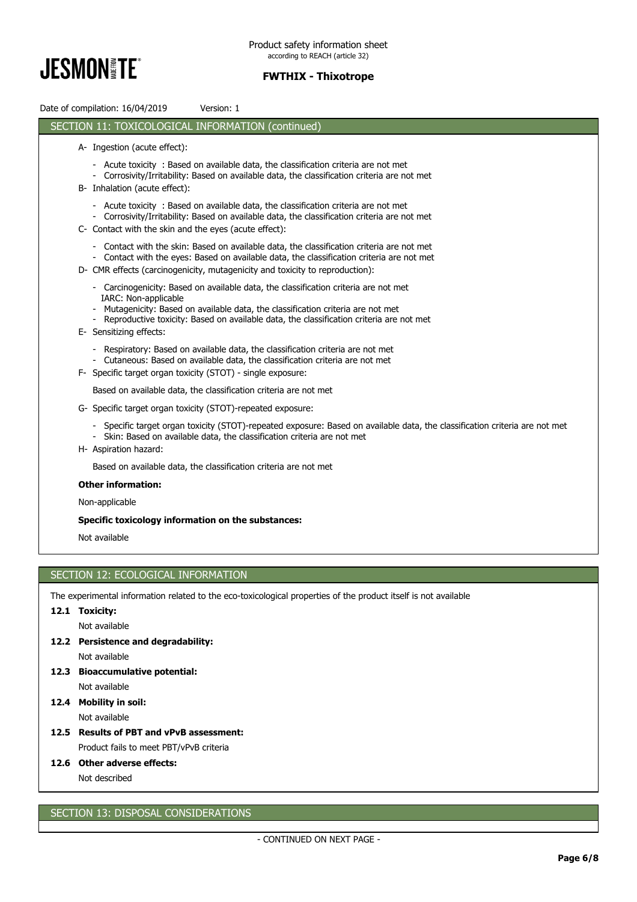

Date of compilation: 16/04/2019 Version: 1 SECTION 11: TOXICOLOGICAL INFORMATION (continued) A- Ingestion (acute effect): - Acute toxicity : Based on available data, the classification criteria are not met - Corrosivity/Irritability: Based on available data, the classification criteria are not met B- Inhalation (acute effect): - Acute toxicity : Based on available data, the classification criteria are not met - Corrosivity/Irritability: Based on available data, the classification criteria are not met C- Contact with the skin and the eyes (acute effect): - Contact with the skin: Based on available data, the classification criteria are not met Contact with the eyes: Based on available data, the classification criteria are not met D- CMR effects (carcinogenicity, mutagenicity and toxicity to reproduction): - Carcinogenicity: Based on available data, the classification criteria are not met IARC: Non-applicable - Mutagenicity: Based on available data, the classification criteria are not met - Reproductive toxicity: Based on available data, the classification criteria are not met E- Sensitizing effects: - Respiratory: Based on available data, the classification criteria are not met Cutaneous: Based on available data, the classification criteria are not met F- Specific target organ toxicity (STOT) - single exposure: Based on available data, the classification criteria are not met G- Specific target organ toxicity (STOT)-repeated exposure: - Specific target organ toxicity (STOT)-repeated exposure: Based on available data, the classification criteria are not met - Skin: Based on available data, the classification criteria are not met H- Aspiration hazard: Based on available data, the classification criteria are not met **Other information:** Non-applicable **Specific toxicology information on the substances:** Not available SECTION 12: ECOLOGICAL INFORMATION

The experimental information related to the eco-toxicological properties of the product itself is not available

### **12.1 Toxicity:**

Not available

**12.2 Persistence and degradability:**

Not available

- **12.3 Bioaccumulative potential:** Not available
- **12.4 Mobility in soil:**

Not available

**12.5 Results of PBT and vPvB assessment:**

Product fails to meet PBT/vPvB criteria

### **12.6 Other adverse effects:**

Not described

### SECTION 13: DISPOSAL CONSIDERATIONS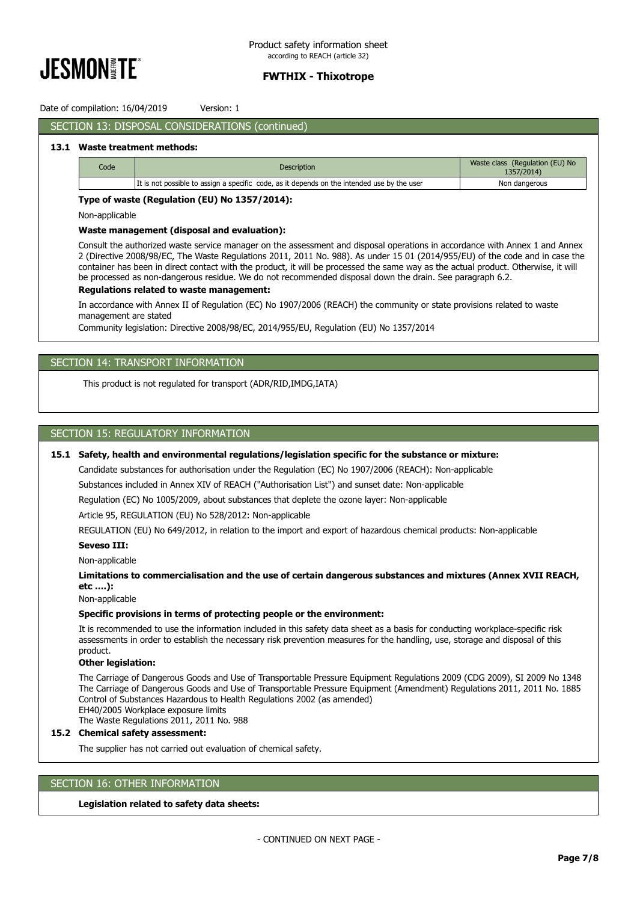

Date of compilation: 16/04/2019 Version: 1

### SECTION 13: DISPOSAL CONSIDERATIONS (continued)

#### **13.1 Waste treatment methods:**

| Code | <b>Description</b>                                                                          | Waste class (Regulation (EU) No<br>1357/2014) |
|------|---------------------------------------------------------------------------------------------|-----------------------------------------------|
|      | It is not possible to assign a specific code, as it depends on the intended use by the user | Non dangerous                                 |

#### **Type of waste (Regulation (EU) No 1357/2014):**

Non-applicable

#### **Waste management (disposal and evaluation):**

Consult the authorized waste service manager on the assessment and disposal operations in accordance with Annex 1 and Annex 2 (Directive 2008/98/EC, The Waste Regulations 2011, 2011 No. 988). As under 15 01 (2014/955/EU) of the code and in case the container has been in direct contact with the product, it will be processed the same way as the actual product. Otherwise, it will be processed as non-dangerous residue. We do not recommended disposal down the drain. See paragraph 6.2.

#### **Regulations related to waste management:**

In accordance with Annex II of Regulation (EC) No 1907/2006 (REACH) the community or state provisions related to waste management are stated

Community legislation: Directive 2008/98/EC, 2014/955/EU, Regulation (EU) No 1357/2014

#### SECTION 14: TRANSPORT INFORMATION

This product is not regulated for transport (ADR/RID,IMDG,IATA)

### SECTION 15: REGULATORY INFORMATION

### **15.1 Safety, health and environmental regulations/legislation specific for the substance or mixture:**

Candidate substances for authorisation under the Regulation (EC) No 1907/2006 (REACH): Non-applicable

Substances included in Annex XIV of REACH ("Authorisation List") and sunset date: Non-applicable

Regulation (EC) No 1005/2009, about substances that deplete the ozone layer: Non-applicable

Article 95, REGULATION (EU) No 528/2012: Non-applicable

REGULATION (EU) No 649/2012, in relation to the import and export of hazardous chemical products: Non-applicable

#### **Seveso III:**

Non-applicable

### **Limitations to commercialisation and the use of certain dangerous substances and mixtures (Annex XVII REACH, etc ….):**

Non-applicable

#### **Specific provisions in terms of protecting people or the environment:**

It is recommended to use the information included in this safety data sheet as a basis for conducting workplace-specific risk assessments in order to establish the necessary risk prevention measures for the handling, use, storage and disposal of this product.

### **Other legislation:**

The Carriage of Dangerous Goods and Use of Transportable Pressure Equipment Regulations 2009 (CDG 2009), SI 2009 No 1348 The Carriage of Dangerous Goods and Use of Transportable Pressure Equipment (Amendment) Regulations 2011, 2011 No. 1885 Control of Substances Hazardous to Health Regulations 2002 (as amended) EH40/2005 Workplace exposure limits The Waste Regulations 2011, 2011 No. 988

#### **15.2 Chemical safety assessment:**

The supplier has not carried out evaluation of chemical safety.

#### SECTION 16: OTHER INFORMATION

#### **Legislation related to safety data sheets:**

- CONTINUED ON NEXT PAGE -